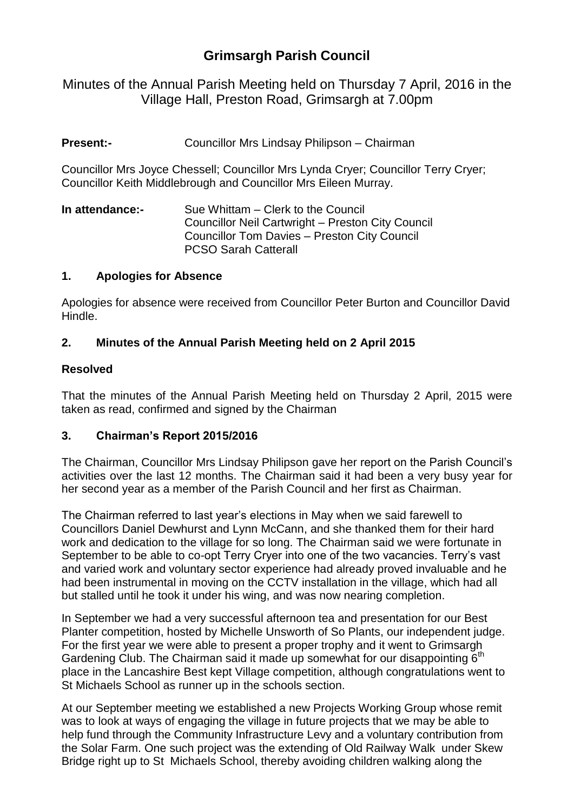# **Grimsargh Parish Council**

Minutes of the Annual Parish Meeting held on Thursday 7 April, 2016 in the Village Hall, Preston Road, Grimsargh at 7.00pm

**Present:-** Councillor Mrs Lindsay Philipson – Chairman

Councillor Mrs Joyce Chessell; Councillor Mrs Lynda Cryer; Councillor Terry Cryer; Councillor Keith Middlebrough and Councillor Mrs Eileen Murray.

**In attendance:-** Sue Whittam – Clerk to the Council Councillor Neil Cartwright – Preston City Council Councillor Tom Davies – Preston City Council PCSO Sarah Catterall

### **1. Apologies for Absence**

Apologies for absence were received from Councillor Peter Burton and Councillor David Hindle.

# **2. Minutes of the Annual Parish Meeting held on 2 April 2015**

### **Resolved**

That the minutes of the Annual Parish Meeting held on Thursday 2 April, 2015 were taken as read, confirmed and signed by the Chairman

#### **3. Chairman's Report 2015/2016**

The Chairman, Councillor Mrs Lindsay Philipson gave her report on the Parish Council's activities over the last 12 months. The Chairman said it had been a very busy year for her second year as a member of the Parish Council and her first as Chairman.

The Chairman referred to last year's elections in May when we said farewell to Councillors Daniel Dewhurst and Lynn McCann, and she thanked them for their hard work and dedication to the village for so long. The Chairman said we were fortunate in September to be able to co-opt Terry Cryer into one of the two vacancies. Terry's vast and varied work and voluntary sector experience had already proved invaluable and he had been instrumental in moving on the CCTV installation in the village, which had all but stalled until he took it under his wing, and was now nearing completion.

In September we had a very successful afternoon tea and presentation for our Best Planter competition, hosted by Michelle Unsworth of So Plants, our independent judge. For the first year we were able to present a proper trophy and it went to Grimsargh Gardening Club. The Chairman said it made up somewhat for our disappointing  $6<sup>th</sup>$ place in the Lancashire Best kept Village competition, although congratulations went to St Michaels School as runner up in the schools section.

At our September meeting we established a new Projects Working Group whose remit was to look at ways of engaging the village in future projects that we may be able to help fund through the Community Infrastructure Levy and a voluntary contribution from the Solar Farm. One such project was the extending of Old Railway Walk under Skew Bridge right up to St Michaels School, thereby avoiding children walking along the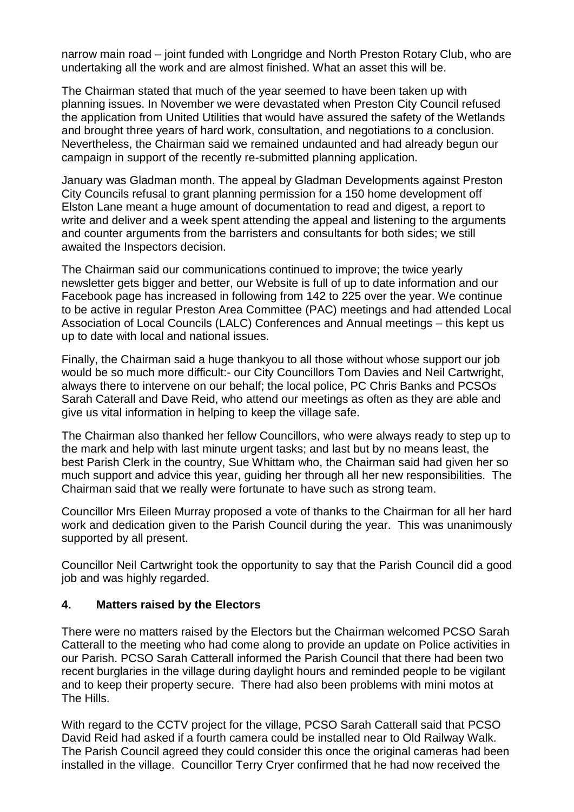narrow main road – joint funded with Longridge and North Preston Rotary Club, who are undertaking all the work and are almost finished. What an asset this will be.

The Chairman stated that much of the year seemed to have been taken up with planning issues. In November we were devastated when Preston City Council refused the application from United Utilities that would have assured the safety of the Wetlands and brought three years of hard work, consultation, and negotiations to a conclusion. Nevertheless, the Chairman said we remained undaunted and had already begun our campaign in support of the recently re-submitted planning application.

January was Gladman month. The appeal by Gladman Developments against Preston City Councils refusal to grant planning permission for a 150 home development off Elston Lane meant a huge amount of documentation to read and digest, a report to write and deliver and a week spent attending the appeal and listening to the arguments and counter arguments from the barristers and consultants for both sides; we still awaited the Inspectors decision.

The Chairman said our communications continued to improve; the twice yearly newsletter gets bigger and better, our Website is full of up to date information and our Facebook page has increased in following from 142 to 225 over the year. We continue to be active in regular Preston Area Committee (PAC) meetings and had attended Local Association of Local Councils (LALC) Conferences and Annual meetings – this kept us up to date with local and national issues.

Finally, the Chairman said a huge thankyou to all those without whose support our job would be so much more difficult:- our City Councillors Tom Davies and Neil Cartwright, always there to intervene on our behalf; the local police, PC Chris Banks and PCSOs Sarah Caterall and Dave Reid, who attend our meetings as often as they are able and give us vital information in helping to keep the village safe.

The Chairman also thanked her fellow Councillors, who were always ready to step up to the mark and help with last minute urgent tasks; and last but by no means least, the best Parish Clerk in the country, Sue Whittam who, the Chairman said had given her so much support and advice this year, guiding her through all her new responsibilities. The Chairman said that we really were fortunate to have such as strong team.

Councillor Mrs Eileen Murray proposed a vote of thanks to the Chairman for all her hard work and dedication given to the Parish Council during the year. This was unanimously supported by all present.

Councillor Neil Cartwright took the opportunity to say that the Parish Council did a good job and was highly regarded.

# **4. Matters raised by the Electors**

There were no matters raised by the Electors but the Chairman welcomed PCSO Sarah Catterall to the meeting who had come along to provide an update on Police activities in our Parish. PCSO Sarah Catterall informed the Parish Council that there had been two recent burglaries in the village during daylight hours and reminded people to be vigilant and to keep their property secure. There had also been problems with mini motos at The Hills.

With regard to the CCTV project for the village, PCSO Sarah Catterall said that PCSO David Reid had asked if a fourth camera could be installed near to Old Railway Walk. The Parish Council agreed they could consider this once the original cameras had been installed in the village. Councillor Terry Cryer confirmed that he had now received the